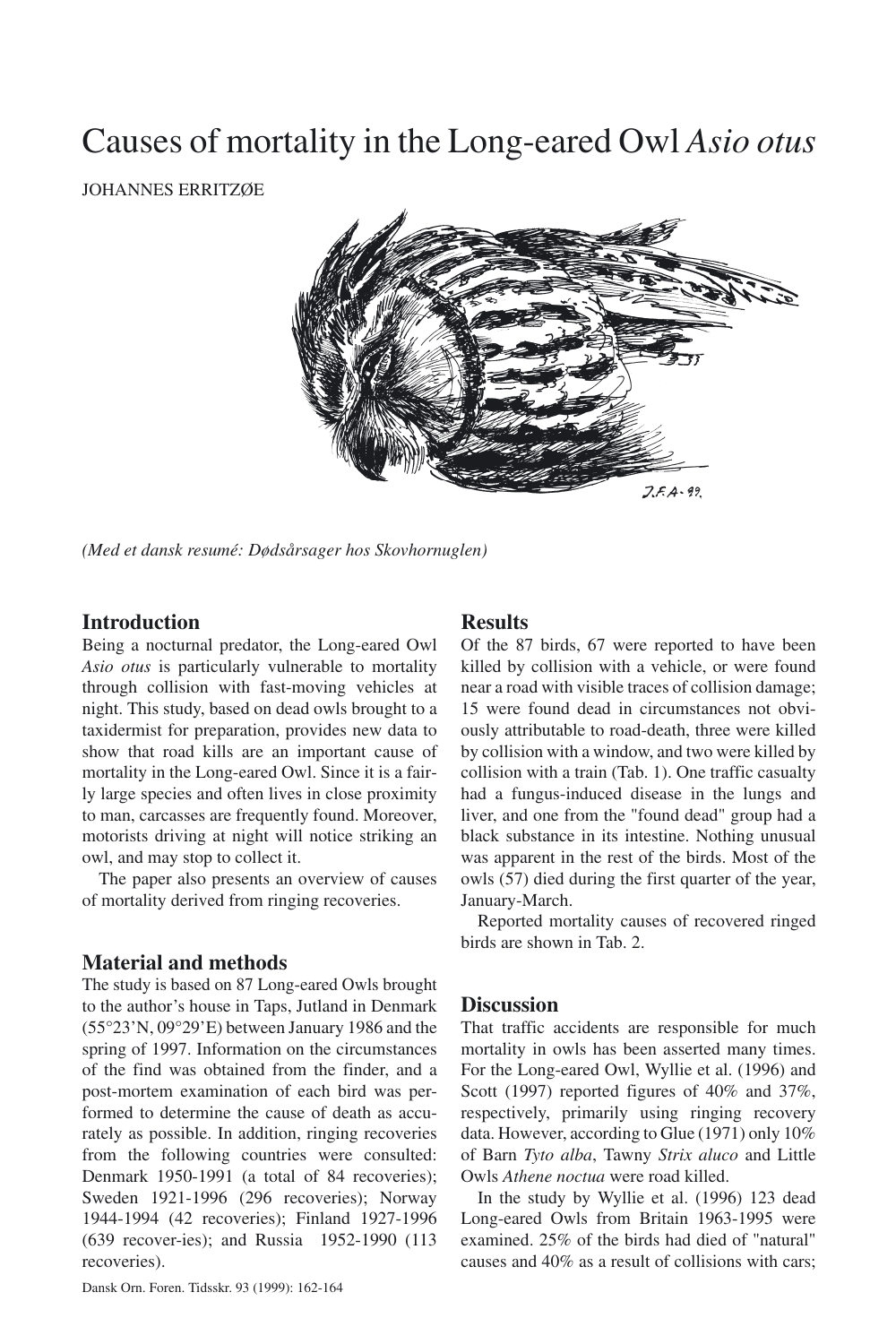# Causes of mortality in the Long-eared Owl *Asio otus*

JOHANNES ERRITZØE



*(Med et dansk resumé: Dødsårsager hos Skovhornuglen)*

## **Introduction**

Being a nocturnal predator, the Long-eared Owl *Asio otus* is particularly vulnerable to mortality through collision with fast-moving vehicles at night. This study, based on dead owls brought to a taxidermist for preparation, provides new data to show that road kills are an important cause of mortality in the Long-eared Owl. Since it is a fairly large species and often lives in close proximity to man, carcasses are frequently found. Moreover, motorists driving at night will notice striking an owl, and may stop to collect it.

The paper also presents an overview of causes of mortality derived from ringing recoveries.

## **Material and methods**

The study is based on 87 Long-eared Owls brought to the author's house in Taps, Jutland in Denmark (55°23'N, 09°29'E) between January 1986 and the spring of 1997. Information on the circumstances of the find was obtained from the finder, and a post-mortem examination of each bird was performed to determine the cause of death as accurately as possible. In addition, ringing recoveries from the following countries were consulted: Denmark 1950-1991 (a total of 84 recoveries); Sweden 1921-1996 (296 recoveries); Norway 1944-1994 (42 recoveries); Finland 1927-1996 (639 recover-ies); and Russia 1952-1990 (113 recoveries).

### **Results**

Of the 87 birds, 67 were reported to have been killed by collision with a vehicle, or were found near a road with visible traces of collision damage; 15 were found dead in circumstances not obviously attributable to road-death, three were killed by collision with a window, and two were killed by collision with a train (Tab. 1). One traffic casualty had a fungus-induced disease in the lungs and liver, and one from the "found dead" group had a black substance in its intestine. Nothing unusual was apparent in the rest of the birds. Most of the owls (57) died during the first quarter of the year, January-March.

Reported mortality causes of recovered ringed birds are shown in Tab. 2.

## **Discussion**

That traffic accidents are responsible for much mortality in owls has been asserted many times. For the Long-eared Owl, Wyllie et al. (1996) and Scott (1997) reported figures of 40% and 37%, respectively, primarily using ringing recovery data. However, according to Glue (1971) only 10% of Barn *Tyto alba*, Tawny *Strix aluco* and Little Owls *Athene noctua* were road killed.

In the study by Wyllie et al. (1996) 123 dead Long-eared Owls from Britain 1963-1995 were examined. 25% of the birds had died of "natural" causes and 40% as a result of collisions with cars;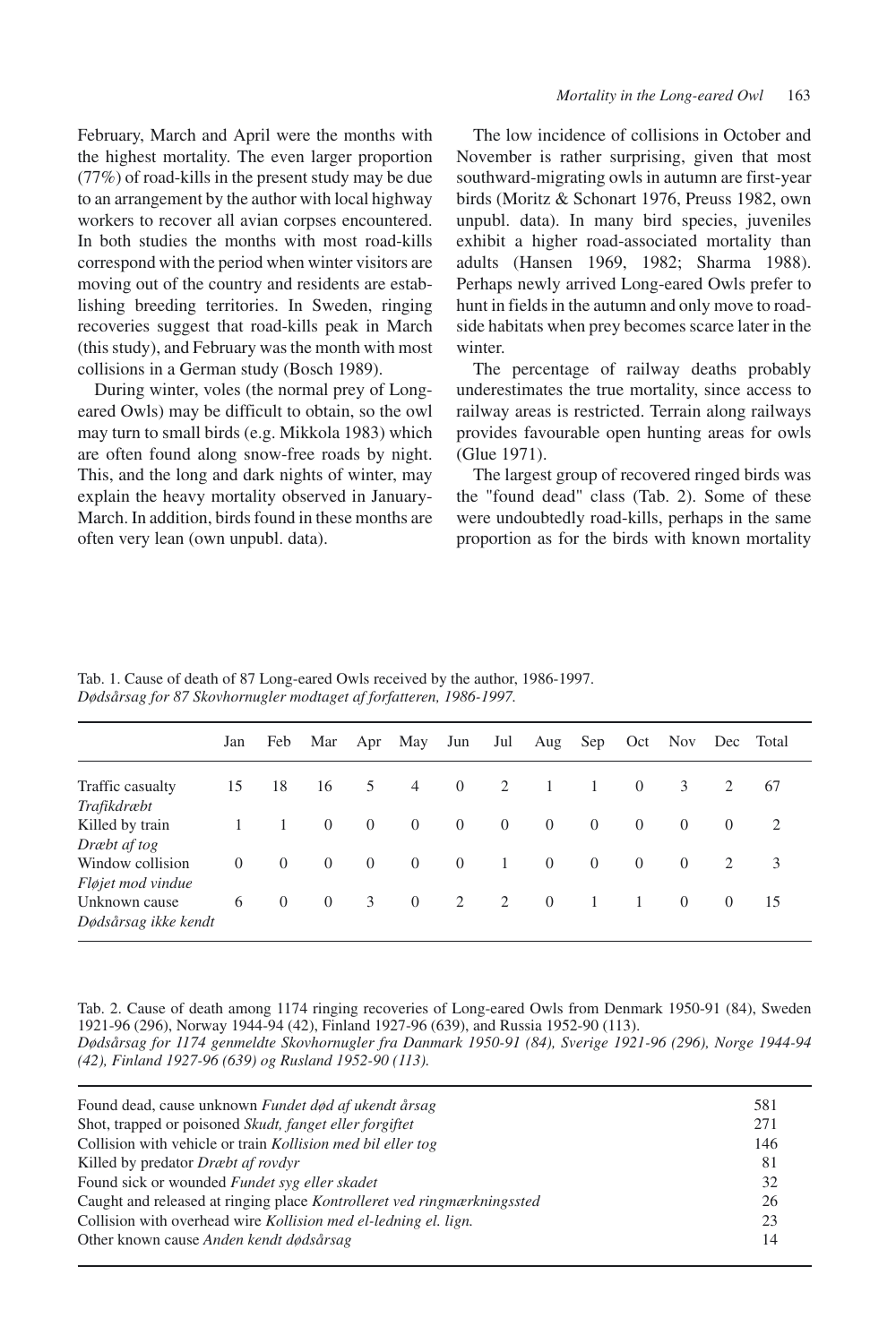February, March and April were the months with the highest mortality. The even larger proportion (77%) of road-kills in the present study may be due to an arrangement by the author with local highway workers to recover all avian corpses encountered. In both studies the months with most road-kills correspond with the period when winter visitors are moving out of the country and residents are establishing breeding territories. In Sweden, ringing recoveries suggest that road-kills peak in March (this study), and February was the month with most collisions in a German study (Bosch 1989).

During winter, voles (the normal prey of Longeared Owls) may be difficult to obtain, so the owl may turn to small birds (e.g. Mikkola 1983) which are often found along snow-free roads by night. This, and the long and dark nights of winter, may explain the heavy mortality observed in January-March. In addition, birds found in these months are often very lean (own unpubl. data).

The low incidence of collisions in October and November is rather surprising, given that most southward-migrating owls in autumn are first-year birds (Moritz & Schonart 1976, Preuss 1982, own unpubl. data). In many bird species, juveniles exhibit a higher road-associated mortality than adults (Hansen 1969, 1982; Sharma 1988). Perhaps newly arrived Long-eared Owls prefer to hunt in fields in the autumn and only move to roadside habitats when prey becomes scarce later in the winter.

The percentage of railway deaths probably underestimates the true mortality, since access to railway areas is restricted. Terrain along railways provides favourable open hunting areas for owls (Glue 1971).

The largest group of recovered ringed birds was the "found dead" class (Tab. 2). Some of these were undoubtedly road-kills, perhaps in the same proportion as for the birds with known mortality

Tab. 1. Cause of death of 87 Long-eared Owls received by the author, 1986-1997. *Dødsårsag for 87 Skovhornugler modtaget af forfatteren, 1986-1997.*

|                                                            | Jan      | Feb            | Mar            |                | Apr May        | Jun            | Jul            | Aug Sep        |                | Oct            | Nov Dec Total  |          |    |  |
|------------------------------------------------------------|----------|----------------|----------------|----------------|----------------|----------------|----------------|----------------|----------------|----------------|----------------|----------|----|--|
| Traffic casualty                                           | 15       | 18             | 16             | 5              | $\overline{4}$ | $\overline{0}$ | 2              | - 1            |                | $\Omega$       | 3              | 2        | 67 |  |
| Trafikdræbt<br>Killed by train                             |          |                | $\Omega$       | $\overline{0}$ | $\overline{0}$ | $\overline{0}$ | $\overline{0}$ | $\overline{0}$ | $\overline{0}$ | $\overline{0}$ | $\overline{0}$ | $\Omega$ | 2  |  |
| Dræbt af tog<br>Window collision                           | $\Omega$ | $\overline{0}$ | $\overline{0}$ | $\overline{0}$ | $\theta$       | $\overline{0}$ | -1             | $\overline{0}$ | $\overline{0}$ | $\Omega$       | $\Omega$       | 2        | 3  |  |
| Fløjet mod vindue<br>Unknown cause<br>Dødsårsag ikke kendt | 6        | $\overline{0}$ | $\overline{0}$ | 3              | $\overline{0}$ | 2              | 2              | $\overline{0}$ |                | 1              | $\overline{0}$ | $\theta$ | 15 |  |

Tab. 2. Cause of death among 1174 ringing recoveries of Long-eared Owls from Denmark 1950-91 (84), Sweden 1921-96 (296), Norway 1944-94 (42), Finland 1927-96 (639), and Russia 1952-90 (113).

*Dødsårsag for 1174 genmeldte Skovhornugler fra Danmark 1950-91 (84), Sverige 1921-96 (296), Norge 1944-94 (42), Finland 1927-96 (639) og Rusland 1952-90 (113).*

| Found dead, cause unknown Fundet død af ukendt årsag                    | 581 |
|-------------------------------------------------------------------------|-----|
| Shot, trapped or poisoned Skudt, fanget eller forgiftet                 | 271 |
| Collision with vehicle or train Kollision med bil eller tog             | 146 |
| Killed by predator <i>Dræbt af rovdyr</i>                               | 81  |
| Found sick or wounded Fundet syg eller skadet                           | 32  |
| Caught and released at ringing place Kontrolleret ved ringmærkningssted | 26  |
| Collision with overhead wire <i>Kollision med el-ledning el. lign.</i>  | 23  |
| Other known cause Anden kendt dødsårsag                                 | 14  |
|                                                                         |     |